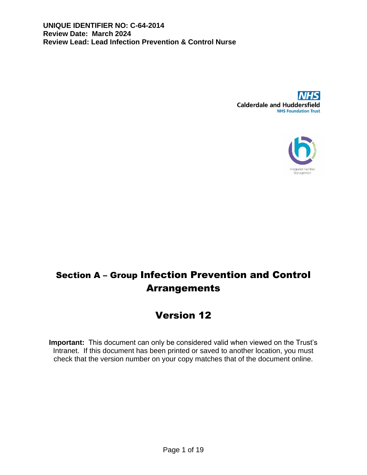



# Section A – Group Infection Prevention and Control Arrangements

# Version 12

**Important:** This document can only be considered valid when viewed on the Trust's Intranet. If this document has been printed or saved to another location, you must check that the version number on your copy matches that of the document online.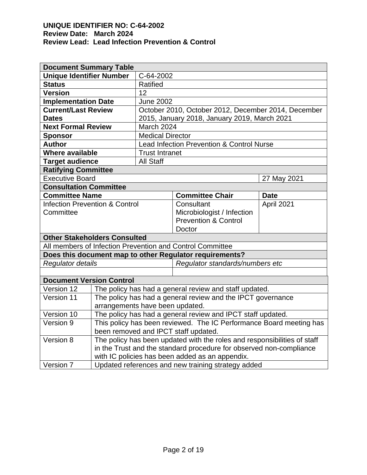| <b>Document Summary Table</b>             |                                                                                                |                                                                     |                                                             |             |  |  |
|-------------------------------------------|------------------------------------------------------------------------------------------------|---------------------------------------------------------------------|-------------------------------------------------------------|-------------|--|--|
| <b>Unique Identifier Number</b>           |                                                                                                | C-64-2002                                                           |                                                             |             |  |  |
| <b>Status</b>                             |                                                                                                | Ratified                                                            |                                                             |             |  |  |
| <b>Version</b>                            |                                                                                                | 12                                                                  |                                                             |             |  |  |
| <b>Implementation Date</b>                |                                                                                                | <b>June 2002</b>                                                    |                                                             |             |  |  |
| <b>Current/Last Review</b>                |                                                                                                | October 2010, October 2012, December 2014, December                 |                                                             |             |  |  |
| <b>Dates</b>                              |                                                                                                | 2015, January 2018, January 2019, March 2021                        |                                                             |             |  |  |
| <b>Next Formal Review</b>                 |                                                                                                | <b>March 2024</b>                                                   |                                                             |             |  |  |
| <b>Sponsor</b>                            |                                                                                                | <b>Medical Director</b>                                             |                                                             |             |  |  |
| <b>Author</b>                             |                                                                                                | Lead Infection Prevention & Control Nurse                           |                                                             |             |  |  |
| <b>Where available</b>                    |                                                                                                | <b>Trust Intranet</b>                                               |                                                             |             |  |  |
| <b>Target audience</b>                    |                                                                                                | <b>All Staff</b>                                                    |                                                             |             |  |  |
| <b>Ratifying Committee</b>                |                                                                                                |                                                                     |                                                             |             |  |  |
| <b>Executive Board</b>                    |                                                                                                |                                                                     |                                                             | 27 May 2021 |  |  |
| <b>Consultation Committee</b>             |                                                                                                |                                                                     |                                                             |             |  |  |
| <b>Committee Name</b>                     |                                                                                                |                                                                     | <b>Committee Chair</b>                                      | <b>Date</b> |  |  |
| <b>Infection Prevention &amp; Control</b> |                                                                                                |                                                                     | Consultant                                                  | April 2021  |  |  |
| Committee                                 |                                                                                                |                                                                     | Microbiologist / Infection                                  |             |  |  |
|                                           |                                                                                                |                                                                     | <b>Prevention &amp; Control</b>                             |             |  |  |
|                                           |                                                                                                |                                                                     | Doctor                                                      |             |  |  |
| <b>Other Stakeholders Consulted</b>       |                                                                                                |                                                                     |                                                             |             |  |  |
|                                           |                                                                                                |                                                                     | All members of Infection Prevention and Control Committee   |             |  |  |
|                                           |                                                                                                |                                                                     | Does this document map to other Regulator requirements?     |             |  |  |
| Regulator details                         |                                                                                                |                                                                     | Regulator standards/numbers etc                             |             |  |  |
|                                           |                                                                                                |                                                                     |                                                             |             |  |  |
| <b>Document Version Control</b>           |                                                                                                |                                                                     |                                                             |             |  |  |
| Version 12                                | The policy has had a general review and staff updated.                                         |                                                                     |                                                             |             |  |  |
| Version 11                                |                                                                                                |                                                                     | The policy has had a general review and the IPCT governance |             |  |  |
|                                           | arrangements have been updated.<br>The policy has had a general review and IPCT staff updated. |                                                                     |                                                             |             |  |  |
| Version 10                                |                                                                                                |                                                                     |                                                             |             |  |  |
| Version 9                                 |                                                                                                | This policy has been reviewed. The IC Performance Board meeting has |                                                             |             |  |  |
|                                           |                                                                                                |                                                                     | been removed and IPCT staff updated.                        |             |  |  |
| Version 8                                 | The policy has been updated with the roles and responsibilities of staff                       |                                                                     |                                                             |             |  |  |
|                                           |                                                                                                | in the Trust and the standard procedure for observed non-compliance |                                                             |             |  |  |
|                                           | with IC policies has been added as an appendix.                                                |                                                                     |                                                             |             |  |  |
| Version 7                                 | Updated references and new training strategy added                                             |                                                                     |                                                             |             |  |  |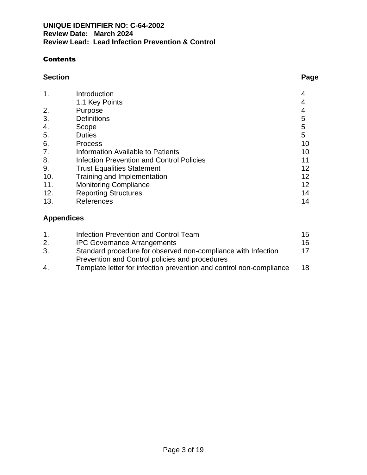# Contents

## **Section Page**

|     | Introduction                                     |    |
|-----|--------------------------------------------------|----|
|     | 1.1 Key Points                                   |    |
| 2.  | Purpose                                          |    |
| 3.  | <b>Definitions</b>                               | 5  |
| 4.  | Scope                                            | 5  |
| 5.  | <b>Duties</b>                                    | 5  |
| 6.  | <b>Process</b>                                   | 10 |
| 7.  | Information Available to Patients                | 10 |
| 8.  | <b>Infection Prevention and Control Policies</b> |    |
| 9.  | <b>Trust Equalities Statement</b>                | 12 |
| 10. | Training and Implementation                      | 12 |
| 11. | <b>Monitoring Compliance</b>                     | 12 |
| 12. | <b>Reporting Structures</b>                      | 14 |
| 13. | References                                       | 14 |

# **Appendices**

| 1. | Infection Prevention and Control Team                               | 15 |  |
|----|---------------------------------------------------------------------|----|--|
| 2. | <b>IPC Governance Arrangements</b>                                  | 16 |  |
| 3. | Standard procedure for observed non-compliance with Infection       | 17 |  |
|    | Prevention and Control policies and procedures                      |    |  |
| 4. | Template letter for infection prevention and control non-compliance | 18 |  |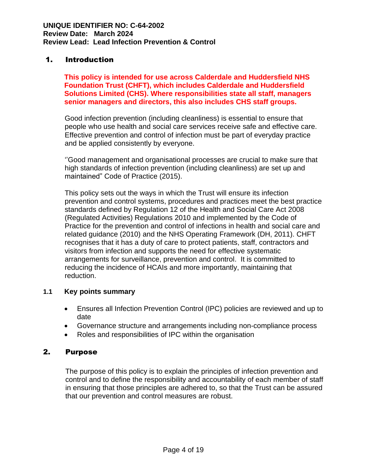# 1. Introduction

**This policy is intended for use across Calderdale and Huddersfield NHS Foundation Trust (CHFT), which includes Calderdale and Huddersfield Solutions Limited (CHS). Where responsibilities state all staff, managers senior managers and directors, this also includes CHS staff groups.**

Good infection prevention (including cleanliness) is essential to ensure that people who use health and social care services receive safe and effective care. Effective prevention and control of infection must be part of everyday practice and be applied consistently by everyone.

''Good management and organisational processes are crucial to make sure that high standards of infection prevention (including cleanliness) are set up and maintained" Code of Practice (2015).

This policy sets out the ways in which the Trust will ensure its infection prevention and control systems, procedures and practices meet the best practice standards defined by Regulation 12 of the Health and Social Care Act 2008 (Regulated Activities) Regulations 2010 and implemented by the Code of Practice for the prevention and control of infections in health and social care and related guidance (2010) and the NHS Operating Framework (DH, 2011). CHFT recognises that it has a duty of care to protect patients, staff, contractors and visitors from infection and supports the need for effective systematic arrangements for surveillance, prevention and control. It is committed to reducing the incidence of HCAIs and more importantly, maintaining that reduction.

## **1.1 Key points summary**

- Ensures all Infection Prevention Control (IPC) policies are reviewed and up to date
- Governance structure and arrangements including non-compliance process
- Roles and responsibilities of IPC within the organisation

## 2. Purpose

The purpose of this policy is to explain the principles of infection prevention and control and to define the responsibility and accountability of each member of staff in ensuring that those principles are adhered to, so that the Trust can be assured that our prevention and control measures are robust.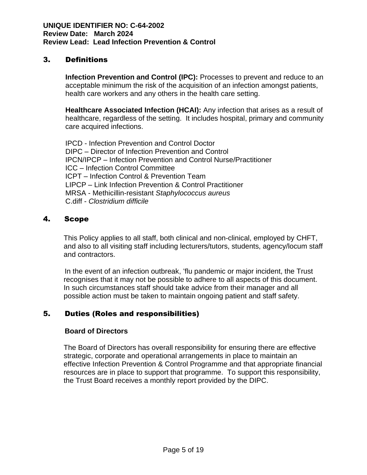# 3. Definitions

**Infection Prevention and Control (IPC):** Processes to prevent and reduce to an acceptable minimum the risk of the acquisition of an infection amongst patients, health care workers and any others in the health care setting.

**Healthcare Associated Infection (HCAI):** Any infection that arises as a result of healthcare, regardless of the setting. It includes hospital, primary and community care acquired infections.

IPCD - Infection Prevention and Control Doctor DIPC – Director of Infection Prevention and Control IPCN/IPCP – Infection Prevention and Control Nurse/Practitioner ICC – Infection Control Committee ICPT – Infection Control & Prevention Team LIPCP – Link Infection Prevention & Control Practitioner MRSA - Methicillin-resistant *Staphylococcus aureus* C.diff - *Clostridium difficile*

# 4. Scope

This Policy applies to all staff, both clinical and non-clinical, employed by CHFT, and also to all visiting staff including lecturers/tutors, students, agency/locum staff and contractors.

In the event of an infection outbreak, 'flu pandemic or major incident, the Trust recognises that it may not be possible to adhere to all aspects of this document. In such circumstances staff should take advice from their manager and all possible action must be taken to maintain ongoing patient and staff safety.

# 5. Duties (Roles and responsibilities)

## **Board of Directors**

The Board of Directors has overall responsibility for ensuring there are effective strategic, corporate and operational arrangements in place to maintain an effective Infection Prevention & Control Programme and that appropriate financial resources are in place to support that programme. To support this responsibility, the Trust Board receives a monthly report provided by the DIPC.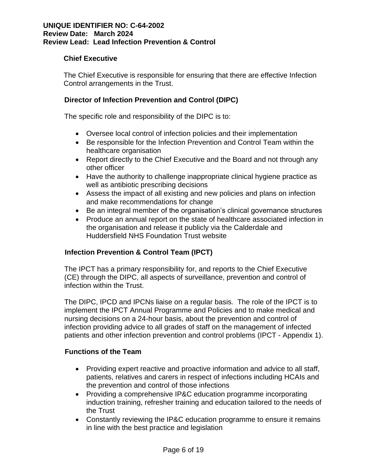## **Chief Executive**

The Chief Executive is responsible for ensuring that there are effective Infection Control arrangements in the Trust.

## **Director of Infection Prevention and Control (DIPC)**

The specific role and responsibility of the DIPC is to:

- Oversee local control of infection policies and their implementation
- Be responsible for the Infection Prevention and Control Team within the healthcare organisation
- Report directly to the Chief Executive and the Board and not through any other officer
- Have the authority to challenge inappropriate clinical hygiene practice as well as antibiotic prescribing decisions
- Assess the impact of all existing and new policies and plans on infection and make recommendations for change
- Be an integral member of the organisation's clinical governance structures
- Produce an annual report on the state of healthcare associated infection in the organisation and release it publicly via the Calderdale and Huddersfield NHS Foundation Trust website

# **Infection Prevention & Control Team (IPCT)**

The IPCT has a primary responsibility for, and reports to the Chief Executive (CE) through the DIPC, all aspects of surveillance, prevention and control of infection within the Trust.

The DIPC, IPCD and IPCNs liaise on a regular basis. The role of the IPCT is to implement the IPCT Annual Programme and Policies and to make medical and nursing decisions on a 24-hour basis, about the prevention and control of infection providing advice to all grades of staff on the management of infected patients and other infection prevention and control problems (IPCT - Appendix 1).

## **Functions of the Team**

- Providing expert reactive and proactive information and advice to all staff, patients, relatives and carers in respect of infections including HCAIs and the prevention and control of those infections
- Providing a comprehensive IP&C education programme incorporating induction training, refresher training and education tailored to the needs of the Trust
- Constantly reviewing the IP&C education programme to ensure it remains in line with the best practice and legislation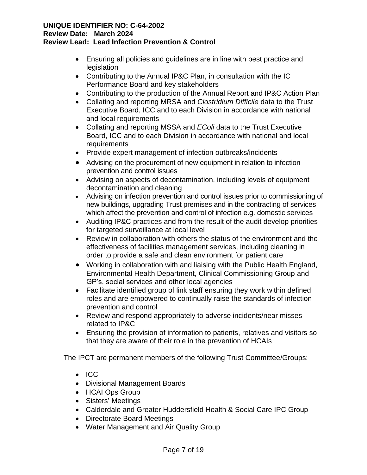- Ensuring all policies and guidelines are in line with best practice and legislation
- Contributing to the Annual IP&C Plan, in consultation with the IC Performance Board and key stakeholders
- Contributing to the production of the Annual Report and IP&C Action Plan
- Collating and reporting MRSA and *Clostridium Difficile* data to the Trust Executive Board, ICC and to each Division in accordance with national and local requirements
- Collating and reporting MSSA and *EColi* data to the Trust Executive Board, ICC and to each Division in accordance with national and local requirements
- Provide expert management of infection outbreaks/incidents
- Advising on the procurement of new equipment in relation to infection prevention and control issues
- Advising on aspects of decontamination, including levels of equipment decontamination and cleaning
- Advising on infection prevention and control issues prior to commissioning of new buildings, upgrading Trust premises and in the contracting of services which affect the prevention and control of infection e.g. domestic services
- Auditing IP&C practices and from the result of the audit develop priorities for targeted surveillance at local level
- Review in collaboration with others the status of the environment and the effectiveness of facilities management services, including cleaning in order to provide a safe and clean environment for patient care
- Working in collaboration with and liaising with the Public Health England, Environmental Health Department, Clinical Commissioning Group and GP's, social services and other local agencies
- Facilitate identified group of link staff ensuring they work within defined roles and are empowered to continually raise the standards of infection prevention and control
- Review and respond appropriately to adverse incidents/near misses related to IP&C
- Ensuring the provision of information to patients, relatives and visitors so that they are aware of their role in the prevention of HCAIs

The IPCT are permanent members of the following Trust Committee/Groups:

- ICC
- Divisional Management Boards
- HCAI Ops Group
- Sisters' Meetings
- Calderdale and Greater Huddersfield Health & Social Care IPC Group
- Directorate Board Meetings
- Water Management and Air Quality Group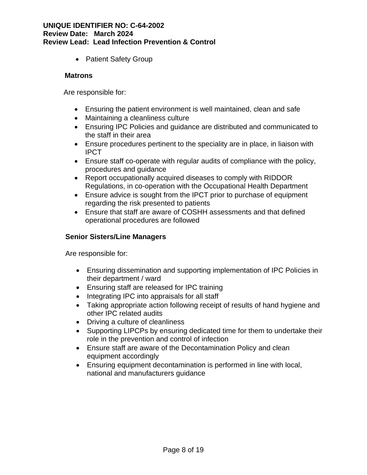• Patient Safety Group

## **Matrons**

Are responsible for:

- Ensuring the patient environment is well maintained, clean and safe
- Maintaining a cleanliness culture
- Ensuring IPC Policies and guidance are distributed and communicated to the staff in their area
- Ensure procedures pertinent to the speciality are in place, in liaison with IPCT
- Ensure staff co-operate with regular audits of compliance with the policy, procedures and guidance
- Report occupationally acquired diseases to comply with RIDDOR Regulations, in co-operation with the Occupational Health Department
- Ensure advice is sought from the IPCT prior to purchase of equipment regarding the risk presented to patients
- Ensure that staff are aware of COSHH assessments and that defined operational procedures are followed

## **Senior Sisters/Line Managers**

Are responsible for:

- Ensuring dissemination and supporting implementation of IPC Policies in their department / ward
- Ensuring staff are released for IPC training
- Integrating IPC into appraisals for all staff
- Taking appropriate action following receipt of results of hand hygiene and other IPC related audits
- Driving a culture of cleanliness
- Supporting LIPCPs by ensuring dedicated time for them to undertake their role in the prevention and control of infection
- Ensure staff are aware of the Decontamination Policy and clean equipment accordingly
- Ensuring equipment decontamination is performed in line with local, national and manufacturers guidance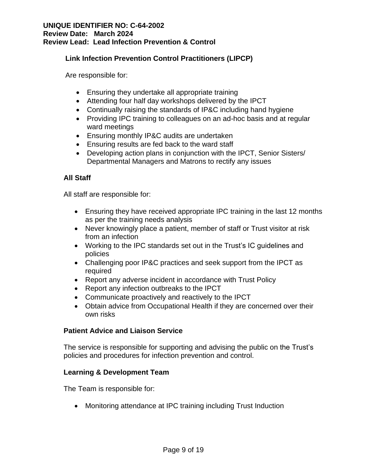## **Link Infection Prevention Control Practitioners (LIPCP)**

Are responsible for:

- Ensuring they undertake all appropriate training
- Attending four half day workshops delivered by the IPCT
- Continually raising the standards of IP&C including hand hygiene
- Providing IPC training to colleagues on an ad-hoc basis and at regular ward meetings
- Ensuring monthly IP&C audits are undertaken
- Ensuring results are fed back to the ward staff
- Developing action plans in conjunction with the IPCT, Senior Sisters/ Departmental Managers and Matrons to rectify any issues

## **All Staff**

All staff are responsible for:

- Ensuring they have received appropriate IPC training in the last 12 months as per the training needs analysis
- Never knowingly place a patient, member of staff or Trust visitor at risk from an infection
- Working to the IPC standards set out in the Trust's IC guidelines and policies
- Challenging poor IP&C practices and seek support from the IPCT as required
- Report any adverse incident in accordance with Trust Policy
- Report any infection outbreaks to the IPCT
- Communicate proactively and reactively to the IPCT
- Obtain advice from Occupational Health if they are concerned over their own risks

## **Patient Advice and Liaison Service**

The service is responsible for supporting and advising the public on the Trust's policies and procedures for infection prevention and control.

## **Learning & Development Team**

The Team is responsible for:

• Monitoring attendance at IPC training including Trust Induction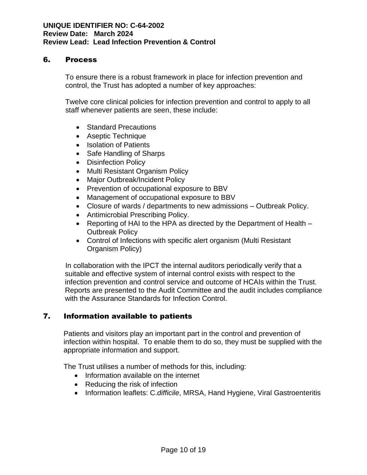# 6. Process

To ensure there is a robust framework in place for infection prevention and control, the Trust has adopted a number of key approaches:

Twelve core clinical policies for infection prevention and control to apply to all staff whenever patients are seen, these include:

- Standard Precautions
- Aseptic Technique
- Isolation of Patients
- Safe Handling of Sharps
- Disinfection Policy
- Multi Resistant Organism Policy
- Major Outbreak/Incident Policy
- Prevention of occupational exposure to BBV
- Management of occupational exposure to BBV
- Closure of wards / departments to new admissions Outbreak Policy.
- Antimicrobial Prescribing Policy.
- Reporting of HAI to the HPA as directed by the Department of Health Outbreak Policy
- Control of Infections with specific alert organism (Multi Resistant Organism Policy)

In collaboration with the IPCT the internal auditors periodically verify that a suitable and effective system of internal control exists with respect to the infection prevention and control service and outcome of HCAIs within the Trust. Reports are presented to the Audit Committee and the audit includes compliance with the Assurance Standards for Infection Control.

# 7. Information available to patients

Patients and visitors play an important part in the control and prevention of infection within hospital. To enable them to do so, they must be supplied with the appropriate information and support.

The Trust utilises a number of methods for this, including:

- Information available on the internet
- Reducing the risk of infection
- Information leaflets: C.*difficile*, MRSA, Hand Hygiene, Viral Gastroenteritis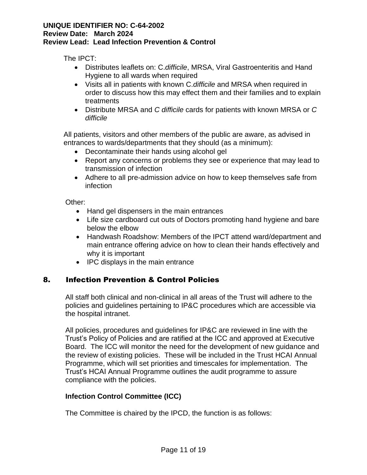The IPCT:

- Distributes leaflets on: C.*difficile*, MRSA, Viral Gastroenteritis and Hand Hygiene to all wards when required
- Visits all in patients with known C.*difficile* and MRSA when required in order to discuss how this may effect them and their families and to explain treatments
- Distribute MRSA and *C difficile* cards for patients with known MRSA or *C difficile*

All patients, visitors and other members of the public are aware, as advised in entrances to wards/departments that they should (as a minimum):

- Decontaminate their hands using alcohol gel
- Report any concerns or problems they see or experience that may lead to transmission of infection
- Adhere to all pre-admission advice on how to keep themselves safe from infection

Other:

- Hand gel dispensers in the main entrances
- Life size cardboard cut outs of Doctors promoting hand hygiene and bare below the elbow
- Handwash Roadshow: Members of the IPCT attend ward/department and main entrance offering advice on how to clean their hands effectively and why it is important
- IPC displays in the main entrance

# 8. Infection Prevention & Control Policies

All staff both clinical and non-clinical in all areas of the Trust will adhere to the policies and guidelines pertaining to IP&C procedures which are accessible via the hospital intranet.

All policies, procedures and guidelines for IP&C are reviewed in line with the Trust's Policy of Policies and are ratified at the ICC and approved at Executive Board. The ICC will monitor the need for the development of new guidance and the review of existing policies. These will be included in the Trust HCAI Annual Programme, which will set priorities and timescales for implementation. The Trust's HCAI Annual Programme outlines the audit programme to assure compliance with the policies.

# **Infection Control Committee (ICC)**

The Committee is chaired by the IPCD, the function is as follows: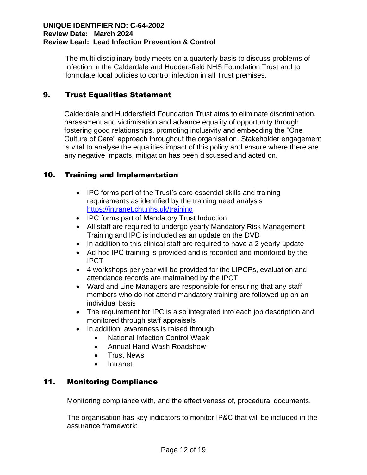The multi disciplinary body meets on a quarterly basis to discuss problems of infection in the Calderdale and Huddersfield NHS Foundation Trust and to formulate local policies to control infection in all Trust premises.

# 9. Trust Equalities Statement

Calderdale and Huddersfield Foundation Trust aims to eliminate discrimination, harassment and victimisation and advance equality of opportunity through fostering good relationships, promoting inclusivity and embedding the "One Culture of Care" approach throughout the organisation. Stakeholder engagement is vital to analyse the equalities impact of this policy and ensure where there are any negative impacts, mitigation has been discussed and acted on.

# 10. Training and Implementation

- IPC forms part of the Trust's core essential skills and training requirements as identified by the training need analysis <https://intranet.cht.nhs.uk/training>
- IPC forms part of Mandatory Trust Induction
- All staff are required to undergo yearly Mandatory Risk Management Training and IPC is included as an update on the DVD
- In addition to this clinical staff are required to have a 2 yearly update
- Ad-hoc IPC training is provided and is recorded and monitored by the IPCT
- 4 workshops per year will be provided for the LIPCPs, evaluation and attendance records are maintained by the IPCT
- Ward and Line Managers are responsible for ensuring that any staff members who do not attend mandatory training are followed up on an individual basis
- The requirement for IPC is also integrated into each job description and monitored through staff appraisals
- In addition, awareness is raised through:
	- National Infection Control Week
	- Annual Hand Wash Roadshow
	- Trust News
	- Intranet

# 11. Monitoring Compliance

Monitoring compliance with, and the effectiveness of, procedural documents.

The organisation has key indicators to monitor IP&C that will be included in the assurance framework: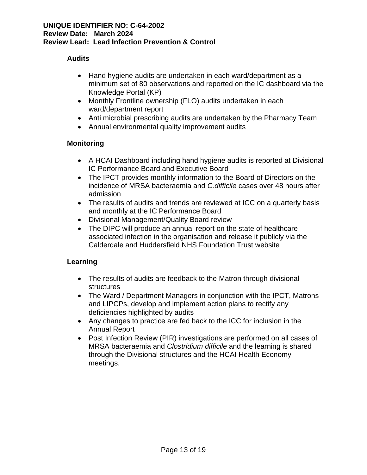## **Audits**

- Hand hygiene audits are undertaken in each ward/department as a minimum set of 80 observations and reported on the IC dashboard via the Knowledge Portal (KP)
- Monthly Frontline ownership (FLO) audits undertaken in each ward/department report
- Anti microbial prescribing audits are undertaken by the Pharmacy Team
- Annual environmental quality improvement audits

# **Monitoring**

- A HCAI Dashboard including hand hygiene audits is reported at Divisional IC Performance Board and Executive Board
- The IPCT provides monthly information to the Board of Directors on the incidence of MRSA bacteraemia and *C.difficile* cases over 48 hours after admission
- The results of audits and trends are reviewed at ICC on a quarterly basis and monthly at the IC Performance Board
- Divisional Management/Quality Board review
- The DIPC will produce an annual report on the state of healthcare associated infection in the organisation and release it publicly via the Calderdale and Huddersfield NHS Foundation Trust website

# **Learning**

- The results of audits are feedback to the Matron through divisional structures
- The Ward / Department Managers in conjunction with the IPCT, Matrons and LIPCPs, develop and implement action plans to rectify any deficiencies highlighted by audits
- Any changes to practice are fed back to the ICC for inclusion in the Annual Report
- Post Infection Review (PIR) investigations are performed on all cases of MRSA bacteraemia and *Clostridium difficile* and the learning is shared through the Divisional structures and the HCAI Health Economy meetings.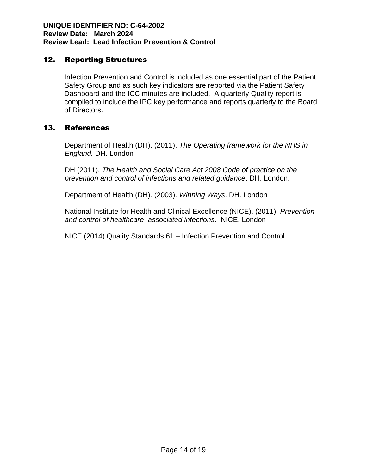# 12. Reporting Structures

Infection Prevention and Control is included as one essential part of the Patient Safety Group and as such key indicators are reported via the Patient Safety Dashboard and the ICC minutes are included. A quarterly Quality report is compiled to include the IPC key performance and reports quarterly to the Board of Directors.

# 13. References

Department of Health (DH). (2011). *The Operating framework for the NHS in England.* DH. London

DH (2011). *The Health and Social Care Act 2008 Code of practice on the prevention and control of infections and related guidance*. DH. London.

Department of Health (DH). (2003). *Winning Ways*. DH. London

National Institute for Health and Clinical Excellence (NICE). (2011). *Prevention and control of healthcare–associated infections*. NICE. London

NICE (2014) Quality Standards 61 – Infection Prevention and Control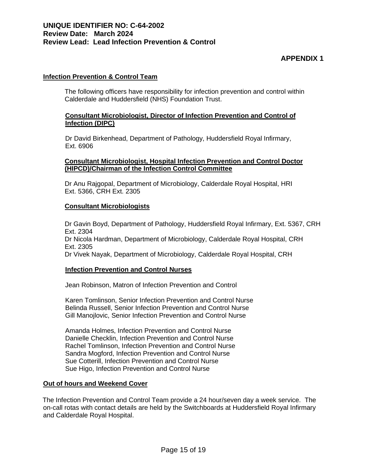# **APPENDIX 1**

#### **Infection Prevention & Control Team**

The following officers have responsibility for infection prevention and control within Calderdale and Huddersfield (NHS) Foundation Trust.

#### **Consultant Microbiologist, Director of Infection Prevention and Control of Infection (DIPC)**

Dr David Birkenhead, Department of Pathology, Huddersfield Royal Infirmary, Ext. 6906

#### **Consultant Microbiologist, Hospital Infection Prevention and Control Doctor (HIPCD)/Chairman of the Infection Control Committee**

Dr Anu Rajgopal, Department of Microbiology, Calderdale Royal Hospital, HRI Ext. 5366, CRH Ext. 2305

#### **Consultant Microbiologists**

Dr Gavin Boyd, Department of Pathology, Huddersfield Royal Infirmary, Ext. 5367, CRH Ext. 2304 Dr Nicola Hardman, Department of Microbiology, Calderdale Royal Hospital, CRH Ext. 2305 Dr Vivek Nayak, Department of Microbiology, Calderdale Royal Hospital, CRH

#### **Infection Prevention and Control Nurses**

Jean Robinson, Matron of Infection Prevention and Control

Karen Tomlinson, Senior Infection Prevention and Control Nurse Belinda Russell, Senior Infection Prevention and Control Nurse Gill Manojlovic, Senior Infection Prevention and Control Nurse

Amanda Holmes, Infection Prevention and Control Nurse Danielle Checklin, Infection Prevention and Control Nurse Rachel Tomlinson, Infection Prevention and Control Nurse Sandra Mogford, Infection Prevention and Control Nurse Sue Cotterill, Infection Prevention and Control Nurse Sue Higo, Infection Prevention and Control Nurse

#### **Out of hours and Weekend Cover**

 The Infection Prevention and Control Team provide a 24 hour/seven day a week service. The on-call rotas with contact details are held by the Switchboards at Huddersfield Royal Infirmary and Calderdale Royal Hospital.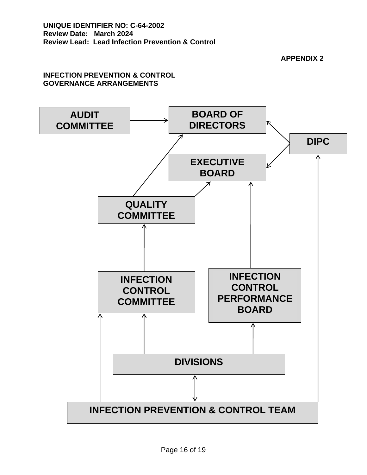**APPENDIX 2**

## **INFECTION PREVENTION & CONTROL GOVERNANCE ARRANGEMENTS**

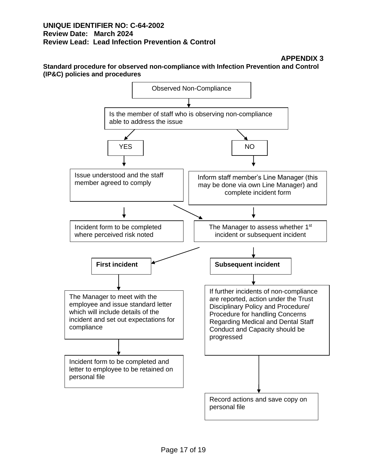**APPENDIX 3**

**Standard procedure for observed non-compliance with Infection Prevention and Control (IP&C) policies and procedures**

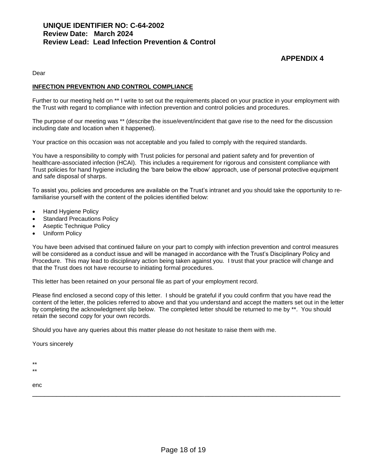# **APPENDIX 4**

Dear

#### **INFECTION PREVENTION AND CONTROL COMPLIANCE**

Further to our meeting held on \*\* I write to set out the requirements placed on your practice in your employment with the Trust with regard to compliance with infection prevention and control policies and procedures.

The purpose of our meeting was \*\* (describe the issue/event/incident that gave rise to the need for the discussion including date and location when it happened).

Your practice on this occasion was not acceptable and you failed to comply with the required standards.

You have a responsibility to comply with Trust policies for personal and patient safety and for prevention of healthcare-associated infection (HCAI). This includes a requirement for rigorous and consistent compliance with Trust policies for hand hygiene including the 'bare below the elbow' approach, use of personal protective equipment and safe disposal of sharps.

To assist you, policies and procedures are available on the Trust's intranet and you should take the opportunity to refamiliarise yourself with the content of the policies identified below:

- Hand Hygiene Policy
- **Standard Precautions Policy**
- Aseptic Technique Policy
- Uniform Policy

You have been advised that continued failure on your part to comply with infection prevention and control measures will be considered as a conduct issue and will be managed in accordance with the Trust's Disciplinary Policy and Procedure. This may lead to disciplinary action being taken against you. I trust that your practice will change and that the Trust does not have recourse to initiating formal procedures.

This letter has been retained on your personal file as part of your employment record.

Please find enclosed a second copy of this letter. I should be grateful if you could confirm that you have read the content of the letter, the policies referred to above and that you understand and accept the matters set out in the letter by completing the acknowledgment slip below. The completed letter should be returned to me by \*\*. You should retain the second copy for your own records.

Should you have any queries about this matter please do not hesitate to raise them with me.

Yours sincerely

\*\*

\*\*

enc

\_\_\_\_\_\_\_\_\_\_\_\_\_\_\_\_\_\_\_\_\_\_\_\_\_\_\_\_\_\_\_\_\_\_\_\_\_\_\_\_\_\_\_\_\_\_\_\_\_\_\_\_\_\_\_\_\_\_\_\_\_\_\_\_\_\_\_\_\_\_\_\_\_\_\_\_\_